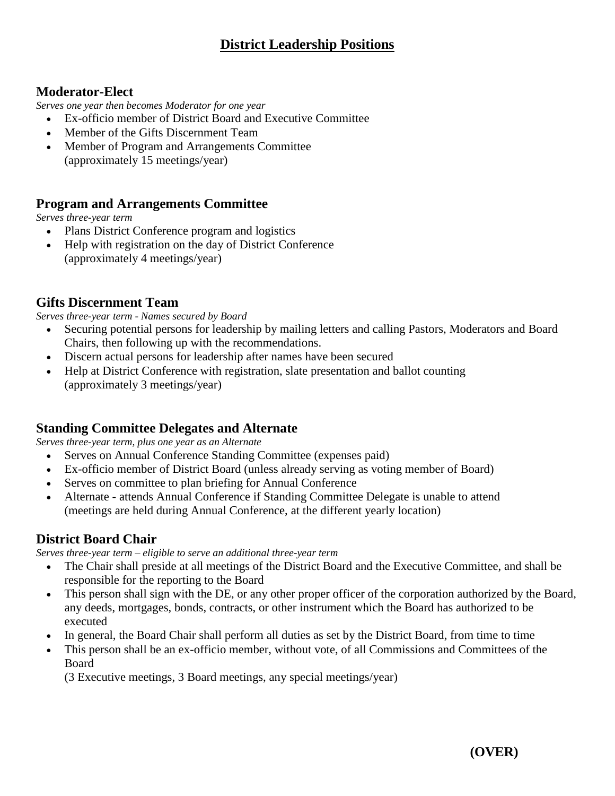### **Moderator-Elect**

*Serves one year then becomes Moderator for one year*

- Ex-officio member of District Board and Executive Committee
- Member of the Gifts Discernment Team
- Member of Program and Arrangements Committee (approximately 15 meetings/year)

### **Program and Arrangements Committee**

*Serves three-year term*

- Plans District Conference program and logistics
- Help with registration on the day of District Conference (approximately 4 meetings/year)

#### **Gifts Discernment Team**

*Serves three-year term - Names secured by Board*

- Securing potential persons for leadership by mailing letters and calling Pastors, Moderators and Board Chairs, then following up with the recommendations.
- Discern actual persons for leadership after names have been secured
- Help at District Conference with registration, slate presentation and ballot counting (approximately 3 meetings/year)

#### **Standing Committee Delegates and Alternate**

*Serves three-year term, plus one year as an Alternate*

- Serves on Annual Conference Standing Committee (expenses paid)
- Ex-officio member of District Board (unless already serving as voting member of Board)
- Serves on committee to plan briefing for Annual Conference
- Alternate attends Annual Conference if Standing Committee Delegate is unable to attend (meetings are held during Annual Conference, at the different yearly location)

### **District Board Chair**

*Serves three-year term – eligible to serve an additional three-year term*

- The Chair shall preside at all meetings of the District Board and the Executive Committee, and shall be responsible for the reporting to the Board
- This person shall sign with the DE, or any other proper officer of the corporation authorized by the Board, any deeds, mortgages, bonds, contracts, or other instrument which the Board has authorized to be executed
- In general, the Board Chair shall perform all duties as set by the District Board, from time to time
- This person shall be an ex-officio member, without vote, of all Commissions and Committees of the Board

(3 Executive meetings, 3 Board meetings, any special meetings/year)